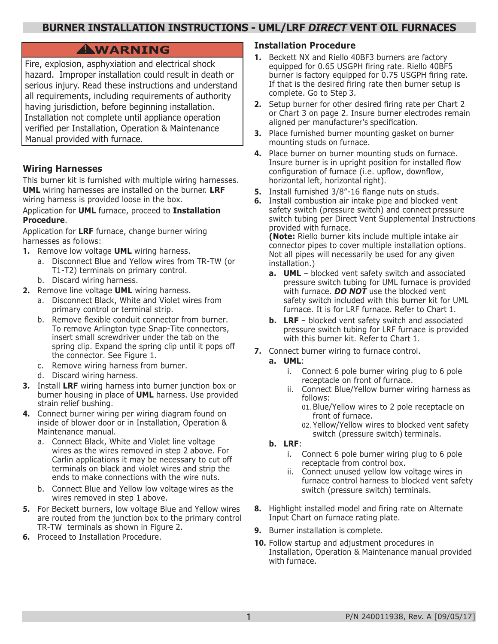## **BURNER INSTALLATION INSTRUCTIONS - UML/LRF** *DIRECT* **VENT OIL FURNACES**

# **WARNING !**

Fire, explosion, asphyxiation and electrical shock hazard. Improper installation could result in death or serious injury. Read these instructions and understand all requirements, including requirements of authority having jurisdiction, before beginning installation. Installation not complete until appliance operation verified per Installation, Operation & Maintenance Manual provided with furnace.

## **Wiring Harnesses**

This burner kit is furnished with multiple wiring harnesses. **UML** wiring harnesses are installed on the burner. **LRF** wiring harness is provided loose in the box.

### Application for **UML** furnace, proceed to **Installation Procedure**.

Application for **LRF** furnace, change burner wiring harnesses as follows:

- **1.** Remove low voltage **UML** wiring harness.
	- a. Disconnect Blue and Yellow wires from TR-TW (or T1-T2) terminals on primary control.
	- b. Discard wiring harness.
- **2.** Remove line voltage **UML** wiring harness.
	- a. Disconnect Black, White and Violet wires from primary control or terminal strip.
	- b. Remove flexible conduit connector from burner. To remove Arlington type Snap-Tite connectors, insert small screwdriver under the tab on the spring clip. Expand the spring clip until it pops off the connector. See Figure 1.
	- c. Remove wiring harness from burner.
	- d. Discard wiring harness.
- **3.** Install **LRF** wiring harness into burner junction box or burner housing in place of **UML** harness. Use provided strain relief bushing.
- **4.** Connect burner wiring per wiring diagram found on inside of blower door or in Installation, Operation & Maintenance manual.
	- a. Connect Black, White and Violet line voltage wires as the wires removed in step 2 above. For Carlin applications it may be necessary to cut off terminals on black and violet wires and strip the ends to make connections with the wire nuts.
	- b. Connect Blue and Yellow low voltage wires as the wires removed in step 1 above.
- **5.** For Beckett burners, low voltage Blue and Yellow wires are routed from the junction box to the primary control TR-TW terminals as shown in Figure 2.
- **6.** Proceed to Installation Procedure.

## **Installation Procedure**

- **1.** Beckett NX and Riello 40BF3 burners are factory equipped for 0.65 USGPH firing rate. Riello 40BF5 burner is factory equipped for 0.75 USGPH firing rate. If that is the desired firing rate then burner setup is complete. Go to Step 3.
- **2.** Setup burner for other desired firing rate per Chart 2 or Chart 3 on page 2. Insure burner electrodes remain aligned per manufacturer's specification.
- **3.** Place furnished burner mounting gasket on burner mounting studs on furnace.
- **4.** Place burner on burner mounting studs on furnace. Insure burner is in upright position for installed flow configuration of furnace (i.e. upflow, downflow, horizontal left, horizontal right).
- **5.** Install furnished 3/8"-16 flange nuts on studs.
- **6.** Install combustion air intake pipe and blocked vent safety switch (pressure switch) and connect pressure switch tubing per Direct Vent Supplemental Instructions provided with furnace.

**(Note:** Riello burner kits include multiple intake air connector pipes to cover multiple installation options. Not all pipes will necessarily be used for any given installation.)

- **a. UML** blocked vent safety switch and associated pressure switch tubing for UML furnace is provided with furnace. *DO NOT* use the blocked vent safety switch included with this burner kit for UML furnace. It is for LRF furnace. Refer to Chart 1.
- **b. LRF**  blocked vent safety switch and associated pressure switch tubing for LRF furnace is provided with this burner kit. Refer to Chart 1.
- **7.** Connect burner wiring to furnace control.
	- **a. UML**:
		- i. Connect 6 pole burner wiring plug to 6 pole receptacle on front of furnace.
		- ii. Connect Blue/Yellow burner wiring harness as follows:
			- 01. Blue/Yellow wires to 2 pole receptacle on front of furnace.
			- 02. Yellow/Yellow wires to blocked vent safety switch (pressure switch) terminals.
	- **b. LRF**:
		- i. Connect 6 pole burner wiring plug to 6 pole receptacle from control box.
		- ii. Connect unused yellow low voltage wires in furnace control harness to blocked vent safety switch (pressure switch) terminals.
- **8.** Highlight installed model and firing rate on Alternate Input Chart on furnace rating plate.
- **9.** Burner installation is complete.
- **10.** Follow startup and adjustment procedures in Installation, Operation & Maintenance manual provided with furnace.

**1**